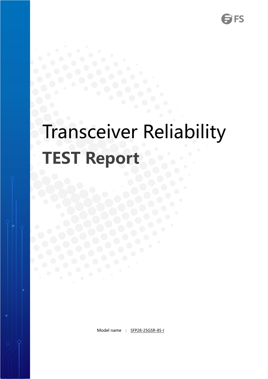# Transceiver Reliability **TEST Report**

Model name : SFP28-25GSR-85-I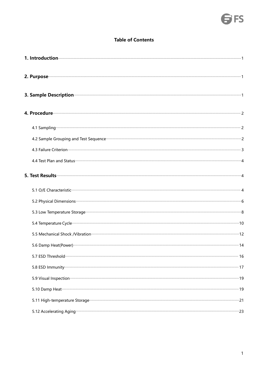# **SFS**

#### **Table of Contents**

| 1. Introduction <b>contracts</b> and the contract of the contract of the contract of the contract of the contract of the contract of the contract of the contract of the contract of the contract of the contract of the contract o  |  |
|--------------------------------------------------------------------------------------------------------------------------------------------------------------------------------------------------------------------------------------|--|
| 2. Purpose <u>and the contract of the contract of the contract of the contract of the contract of the contract of the contract of the contract of the contract of the contract of the contract of the contract of the contract o</u> |  |
| 3. Sample Description <b>Constitution</b> 2. Sample Description 2.1 and 2.1 and 2.1 and 2.1 and 2.1 and 2.1 and 2.1 and 2.1 and 2.1 and 2.1 and 2.1 and 2.1 and 2.1 and 2.1 and 2.1 and 2.1 and 2.1 and 2.1 and 2.1 and 2.1 and 2.1  |  |
|                                                                                                                                                                                                                                      |  |
|                                                                                                                                                                                                                                      |  |
| 4.2 Sample Grouping and Test Sequence <b>Commission Commission Commission</b> 2                                                                                                                                                      |  |
| 4.3 Failure Criterion <b>Constitution</b> 3                                                                                                                                                                                          |  |
|                                                                                                                                                                                                                                      |  |
|                                                                                                                                                                                                                                      |  |
| 5.1 O/E Characteristic <b>Commission Commission Commission</b> Characteristic Assembly Assembly Assembly Assembly Assembly Assembly Assembly Assembly Assembly Assembly Assembly Assembly Assembly Assembly Assembly Assembly Assem  |  |
|                                                                                                                                                                                                                                      |  |
|                                                                                                                                                                                                                                      |  |
|                                                                                                                                                                                                                                      |  |
| 5.5 Mechanical Shock /Vibration (12) 12 Mechanical Shock /Vibration (12) 12                                                                                                                                                          |  |
|                                                                                                                                                                                                                                      |  |
|                                                                                                                                                                                                                                      |  |
|                                                                                                                                                                                                                                      |  |
| 5.9 Visual Inspection <b>contracts</b> and the second contract of the second second terms and the second second second terms and the second second second second second second second second second second second second second sec  |  |
|                                                                                                                                                                                                                                      |  |
|                                                                                                                                                                                                                                      |  |
|                                                                                                                                                                                                                                      |  |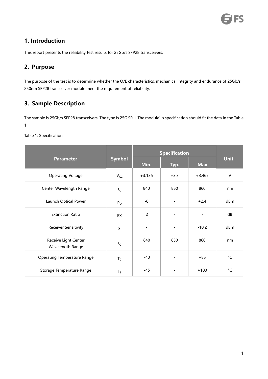# **FS**

# <span id="page-2-0"></span>**1. Introduction**

This report presents the reliability test results for 25Gb/s SFP28 transceivers.

## <span id="page-2-1"></span>**2. Purpose**

The purpose of the test is to determine whether the O/E characteristics, mechanical integrity and endurance of 25Gb/s 850nm SFP28 transceiver module meet the requirement of reliability.

# <span id="page-2-2"></span>**3. Sample Description**

The sample is 25Gb/s SFP28 transceivers. The type is 25G SR-I. The module's specification should fit the data in the Table 1.

Table 1: Specification

|                                          | <b>Symbol</b>           |                          | <b>Specification</b> |                |                   |  |  |
|------------------------------------------|-------------------------|--------------------------|----------------------|----------------|-------------------|--|--|
| <b>Parameter</b>                         |                         | Min.                     | Typ.                 | <b>Max</b>     | <b>Unit</b>       |  |  |
| <b>Operating Voltage</b>                 | $V_{CC}$                | $+3.135$                 | $+3.3$               | $+3.465$       | $\vee$            |  |  |
| Center Wavelength Range                  | $\lambda_{\text{C}}$    | 840                      | 850                  | 860            | nm                |  |  |
| Launch Optical Power                     | $\mathsf{P}_\mathsf{O}$ | -6                       | $\sim$               | $+2.4$         | dBm               |  |  |
| <b>Extinction Ratio</b>                  | EX                      | $\overline{c}$           | $\sim$               | $\blacksquare$ | dB                |  |  |
| <b>Receiver Sensitivity</b>              | $\sf S$                 | $\overline{\phantom{a}}$ | $\blacksquare$       | $-10.2$        | dBm               |  |  |
| Receive Light Center<br>Wavelength Range | $\lambda_{\text{C}}$    | 840                      | 850                  | 860            | nm                |  |  |
| <b>Operating Temperature Range</b>       | $T_C$                   | -40                      | $\blacksquare$       | $+85$          | $^{\circ}{\sf C}$ |  |  |
| Storage Temperature Range                | $T_S$                   | -45                      | $\blacksquare$       | $+100$         | $^{\circ}$ C      |  |  |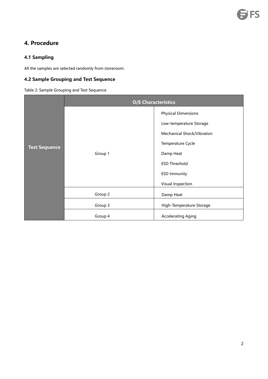# <span id="page-3-0"></span>**4. Procedure**

### <span id="page-3-1"></span>**4.1 Sampling**

All the samples are selected randomly from storeroom.

### <span id="page-3-2"></span>**4.2 Sample Grouping and Test Sequence**

Table 2: Sample Grouping and Test Sequence

|                      |         | <b>O/E Characteristics</b> |
|----------------------|---------|----------------------------|
|                      |         | <b>Physical Dimensions</b> |
|                      |         | Low-temperature Storage    |
|                      |         | Mechanical Shock/Vibration |
| <b>Test Sequence</b> |         | Temperature Cycle          |
|                      | Group 1 | Damp Heat                  |
|                      |         | <b>ESD Threshold</b>       |
|                      |         | <b>ESD Immunity</b>        |
|                      |         | Visual Inspection          |
|                      | Group 2 | Damp Heat                  |
|                      | Group 3 | High-Temperature Storage   |
|                      | Group 4 | <b>Accelerating Aging</b>  |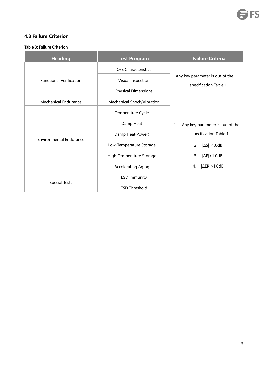#### <span id="page-4-0"></span>**4.3 Failure Criterion**

Table 3: Failure Criterion

| <b>Heading</b>                 | <b>Test Program</b>        | <b>Failure Criteria</b>               |  |  |  |  |
|--------------------------------|----------------------------|---------------------------------------|--|--|--|--|
|                                | O/E Characteristics        |                                       |  |  |  |  |
| <b>Functional Verification</b> | Visual Inspection          | Any key parameter is out of the       |  |  |  |  |
|                                | <b>Physical Dimensions</b> | specification Table 1.                |  |  |  |  |
| <b>Mechanical Endurance</b>    | Mechanical Shock/Vibration |                                       |  |  |  |  |
|                                | Temperature Cycle          |                                       |  |  |  |  |
|                                | Damp Heat                  | Any key parameter is out of the<br>1. |  |  |  |  |
|                                | Damp Heat(Power)           | specification Table 1.                |  |  |  |  |
| <b>Environmental Endurance</b> | Low-Temperature Storage    | $ \Delta S $ > 1.0dB<br>2.            |  |  |  |  |
|                                | High-Temperature Storage   | $ \Delta P $ > 1.0dB<br>3.            |  |  |  |  |
|                                | <b>Accelerating Aging</b>  | $ \Delta ER  > 1.0dB$<br>4.           |  |  |  |  |
|                                | <b>ESD Immunity</b>        |                                       |  |  |  |  |
| <b>Special Tests</b>           | <b>ESD Threshold</b>       |                                       |  |  |  |  |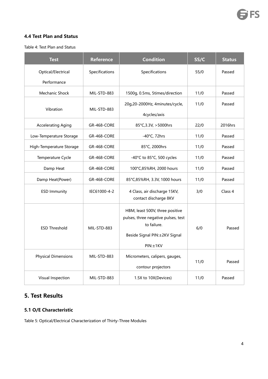#### <span id="page-5-0"></span>**4.4 Test Plan and Status**

Table 4: Test Plan and Status

| <b>Test</b>                | <b>Reference</b>   | <b>Condition</b>                                                                                                                    | SS/C | <b>Status</b> |
|----------------------------|--------------------|-------------------------------------------------------------------------------------------------------------------------------------|------|---------------|
| Optical/Electrical         | Specifications     | Specifications                                                                                                                      | 55/0 | Passed        |
| Performance                |                    |                                                                                                                                     |      |               |
| Mechanic Shock             | MIL-STD-883        | 1500g, 0.5ms, 5times/direction                                                                                                      | 11/0 | Passed        |
| Vibration                  | MIL-STD-883        | 20g,20-2000Hz, 4minutes/cycle,<br>4cycles/axis                                                                                      | 11/0 | Passed        |
| <b>Accelerating Aging</b>  | GR-468-CORE        | 85°C, 3.3V, > 5000hrs                                                                                                               | 22/0 | 2016hrs       |
| Low-Temperature Storage    | GR-468-CORE        | $-40^{\circ}$ C, 72hrs                                                                                                              | 11/0 | Passed        |
| High-Temperature Storage   | GR-468-CORE        | 85°C, 2000hrs                                                                                                                       | 11/0 | Passed        |
| Temperature Cycle          | GR-468-CORE        | -40°C to 85°C, 500 cycles                                                                                                           | 11/0 | Passed        |
| Damp Heat                  | <b>GR-468-CORE</b> | 100°C,85%RH, 2000 hours                                                                                                             | 11/0 | Passed        |
| Damp Heat(Power)           | GR-468-CORE        | 85°C,85%RH, 3.3V, 1000 hours                                                                                                        | 11/0 | Passed        |
| <b>ESD Immunity</b>        | IEC61000-4-2       | 4 Class, air discharge 15KV,<br>contact discharge 8KV                                                                               | 3/0  | Class 4       |
| <b>ESD Threshold</b>       | MIL-STD-883        | HBM, least 500V, three positive<br>pulses, three negative pulses, test<br>to failure.<br>Beside Signal PIN: ±2KV Signal<br>PIN:±1KV | 6/0  | Passed        |
| <b>Physical Dimensions</b> | MIL-STD-883        | Micrometers, calipers, gauges,<br>contour projectors                                                                                | 11/0 | Passed        |
| Visual Inspection          | MIL-STD-883        | 1.5X to 10X(Devices)                                                                                                                | 11/0 | Passed        |

# <span id="page-5-1"></span>**5. Test Results**

#### <span id="page-5-2"></span>**5.1 O/E Characteristic**

Table 5: Optical/Electrical Characterization of Thirty-Three Modules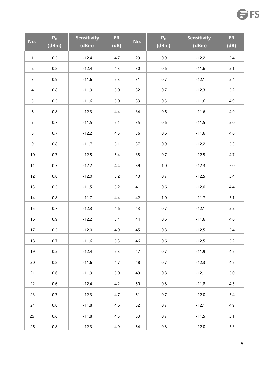| No.             | $P_0$<br>(dBm) | <b>Sensitivity</b><br>(dBm) | ER<br>(dB) | No. | $P_0$<br>(dBm) | <b>Sensitivity</b><br>(dBm) | <b>ER</b><br>(dB) |
|-----------------|----------------|-----------------------------|------------|-----|----------------|-----------------------------|-------------------|
| $\mathbf{1}$    | $0.5\,$        | $-12.4$                     | 4.7        | 29  | 0.9            | $-12.2$                     | 5.4               |
| $\overline{2}$  | $0.8\,$        | $-12.4$                     | 4.3        | 30  | $0.6\,$        | $-11.6$                     | 5.1               |
| $\mathsf{3}$    | 0.9            | $-11.6$                     | 5.3        | 31  | 0.7            | $-12.1$                     | $5.4\,$           |
| $\overline{4}$  | $0.8\,$        | $-11.9$                     | 5.0        | 32  | 0.7            | $-12.3$                     | 5.2               |
| 5               | $0.5\,$        | $-11.6$                     | 5.0        | 33  | $0.5\,$        | $-11.6$                     | 4.9               |
| 6               | $0.8\,$        | $-12.3$                     | 4.4        | 34  | 0.6            | $-11.6$                     | 4.9               |
| 7 <sup>7</sup>  | 0.7            | $-11.5$                     | 5.1        | 35  | $0.6\,$        | $-11.5$                     | 5.0               |
| $\bf 8$         | 0.7            | $-12.2$                     | 4.5        | 36  | $0.6\,$        | $-11.6$                     | 4.6               |
| 9               | $0.8\,$        | $-11.7$                     | 5.1        | 37  | 0.9            | $-12.2$                     | 5.3               |
| 10 <sub>1</sub> | 0.7            | $-12.5$                     | $5.4\,$    | 38  | 0.7            | $-12.5$                     | 4.7               |
| 11              | 0.7            | $-12.2$                     | 4.4        | 39  | $1.0\,$        | $-12.3$                     | $5.0\,$           |
| 12              | $0.8\,$        | $-12.0$                     | 5.2        | 40  | 0.7            | $-12.5$                     | 5.4               |
| 13              | $0.5\,$        | $-11.5$                     | 5.2        | 41  | 0.6            | $-12.0$                     | 4.4               |
| 14              | $0.8\,$        | $-11.7$                     | 4.4        | 42  | $1.0\,$        | $-11.7$                     | 5.1               |
| 15              | 0.7            | $-12.3$                     | 4.6        | 43  | 0.7            | $-12.1$                     | 5.2               |
| 16              | 0.9            | $-12.2$                     | 5.4        | 44  | $0.6\,$        | $-11.6$                     | 4.6               |
| 17              | 0.5            | $-12.0$                     | 4.9        | 45  | $0.8\,$        | $-12.5$                     | $5.4$             |
| 18              | 0.7            | $-11.6$                     | 5.3        | 46  | $0.6\,$        | $-12.5$                     | 5.2               |
| 19              | $0.5\,$        | $-12.4$                     | 5.3        | 47  | 0.7            | $-11.9$                     | 4.5               |
| 20              | 0.8            | $-11.6$                     | 4.7        | 48  | 0.7            | $-12.3$                     | 4.5               |
| 21              | 0.6            | $-11.9$                     | 5.0        | 49  | 0.8            | $-12.1$                     | $5.0\,$           |
| 22              | 0.6            | $-12.4$                     | 4.2        | 50  | 0.8            | $-11.8$                     | 4.5               |
| 23              | 0.7            | $-12.3$                     | 4.7        | 51  | 0.7            | $-12.0$                     | 5.4               |
| 24              | 0.8            | $-11.8$                     | 4.6        | 52  | 0.7            | $-12.1$                     | 4.9               |
| 25              | 0.6            | $-11.8$                     | 4.5        | 53  | 0.7            | $-11.5$                     | 5.1               |
| 26              | 0.8            | $-12.3$                     | 4.9        | 54  | $0.8\,$        | $-12.0$                     | 5.3               |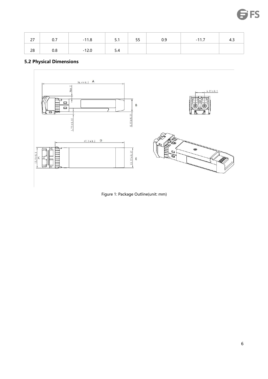| $\sim$<br>$\sim$ | $\sim$ $\sim$<br>U.I | $-11.8$ | г. 4<br>3.1 | F.E.<br>ככ | 0.9 | $-11.7$ | 4.J |
|------------------|----------------------|---------|-------------|------------|-----|---------|-----|
| 28               | 0.8                  | $-12.0$ | 5.4         |            |     |         |     |

# <span id="page-7-0"></span>**5.2 Physical Dimensions**



Figure 1: Package Outline(unit:mm)

**FS**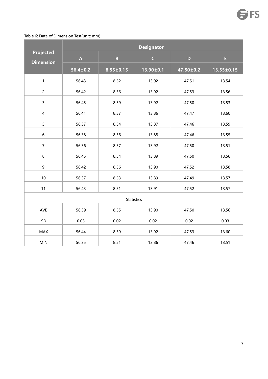#### Table 6: Data of Dimension Test(unit: mm)

| <b>Projected</b>        |                           |                         | <b>Designator</b> |                 |                  |
|-------------------------|---------------------------|-------------------------|-------------------|-----------------|------------------|
| <b>Dimension</b>        | $\boldsymbol{\mathsf{A}}$ | $\overline{\mathbf{B}}$ | $\mathsf C$       | $\mathbf{D}$    | Ė,               |
|                         | $56.4 \pm 0.2$            | $8.55 \pm 0.15$         | $13.90 \pm 0.1$   | $47.50 \pm 0.2$ | $13.55 \pm 0.15$ |
| $\mathbf{1}$            | 56.43                     | 8.52                    | 13.92             | 47.51           | 13.54            |
| $\overline{2}$          | 56.42                     | 8.56                    | 13.92             | 47.53           | 13.56            |
| $\mathsf{3}$            | 56.45                     | 8.59                    | 13.92             | 47.50           | 13.53            |
| $\overline{\mathbf{4}}$ | 56.41                     | 8.57                    | 13.86             | 47.47           | 13.60            |
| 5                       | 56.37                     | 8.54                    | 13.87             | 47.46           | 13.59            |
| 6                       | 56.38                     | 8.56                    | 13.88             | 47.46           | 13.55            |
| $\overline{7}$          | 56.36                     | 8.57                    | 13.92             | 47.50           | 13.51            |
| $\bf 8$                 | 56.45                     | 8.54                    | 13.89             | 47.50           | 13.56            |
| 9                       | 56.42                     | 8.56                    | 13.90             | 47.52           | 13.58            |
| 10                      | 56.37                     | 8.53                    | 13.89             | 47.49           | 13.57            |
| 11                      | 56.43                     | 8.51                    | 13.91             | 47.52           | 13.57            |
|                         |                           | <b>Statistics</b>       |                   |                 |                  |
| AVE                     | 56.39                     | 8.55                    | 13.90             | 47.50           | 13.56            |
| SD                      | 0.03                      | 0.02                    | 0.02              | 0.02            | 0.03             |
| MAX                     | 56.44                     | 8.59                    | 13.92             | 47.53           | 13.60            |
| <b>MIN</b>              | 56.35                     | 8.51                    | 13.86             | 47.46           | 13.51            |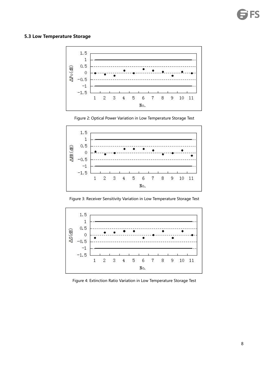#### <span id="page-9-0"></span>**5.3 Low Temperature Storage**







Figure 3: Receiver Sensitivity Variation in Low Temperature Storage Test



Figure 4: Extinction Ratio Variation in Low Temperature Storage Test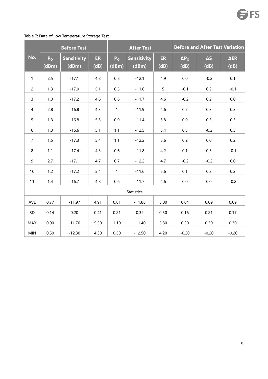<span id="page-10-0"></span>

|                | <b>Before Test</b>      |                             |            |                         | <b>After Test</b>           |                | <b>Before and After Test Variation</b> |                    |                            |  |
|----------------|-------------------------|-----------------------------|------------|-------------------------|-----------------------------|----------------|----------------------------------------|--------------------|----------------------------|--|
| No.            | P <sub>o</sub><br>(dBm) | <b>Sensitivity</b><br>(dBm) | ER<br>(dB) | P <sub>o</sub><br>(dBm) | <b>Sensitivity</b><br>(dBm) | ER<br>(dB)     | $\Delta P_{\rm O}$<br>(dB)             | $\Delta S$<br>(dB) | $\Delta \text{ER}$<br>(dB) |  |
| $\mathbf{1}$   | $2.5$                   | $-17.1$                     | 4.8        | $0.8\,$                 | $-12.1$                     | 4.9            | $0.0\,$                                | $-0.2$             | 0.1                        |  |
| $\overline{2}$ | 1.3                     | $-17.0$                     | 5.1        | 0.5                     | $-11.6$                     | 5 <sub>1</sub> | $-0.1$                                 | 0.2                | $-0.1$                     |  |
| $\mathbf{3}$   | $1.0\,$                 | $-17.2$                     | 4.6        | 0.6                     | $-11.7$                     | 4.6            | $-0.2$                                 | 0.2                | 0.0                        |  |
| $\overline{4}$ | 2.8                     | $-16.8$                     | 4.3        | $\mathbf{1}$            | $-11.9$                     | 4.6            | 0.2                                    | 0.3                | 0.3                        |  |
| 5 <sub>5</sub> | 1.3                     | $-16.8$                     | 5.5        | 0.9                     | $-11.4$                     | 5.8            | $0.0\,$                                | 0.3                | 0.3                        |  |
| 6              | 1.3                     | $-16.6$                     | 5.1        | $1.1$                   | $-12.5$                     | 5.4            | 0.3                                    | $-0.2$             | 0.3                        |  |
| $\overline{7}$ | 1.5                     | $-17.3$                     | 5.4        | 1.1                     | $-12.2$                     | 5.6            | 0.2                                    | $0.0\,$            | 0.2                        |  |
| 8              | 1.1                     | $-17.4$                     | 4.3        | 0.6                     | $-11.8$                     | 4.2            | 0.1                                    | 0.3                | $-0.1$                     |  |
| 9              | 2.7                     | $-17.1$                     | 4.7        | 0.7                     | $-12.2$                     | 4.7            | $-0.2$                                 | $-0.2$             | $0.0\,$                    |  |
| 10             | 1.2                     | $-17.2$                     | 5.4        | $\mathbf{1}$            | $-11.6$                     | 5.6            | 0.1                                    | 0.3                | 0.2                        |  |
| 11             | $1.4$                   | $-16.7$                     | 4.8        | 0.6                     | $-11.7$                     | 4.6            | $0.0\,$                                | $0.0\,$            | $-0.2$                     |  |
|                |                         |                             |            |                         | Statistics                  |                |                                        |                    |                            |  |
| AVE            | 0.77                    | $-11.97$                    | 4.91       | 0.81                    | $-11.88$                    | 5.00           | 0.04                                   | 0.09               | 0.09                       |  |
| SD             | 0.14                    | 0.20                        | 0.41       | 0.21                    | 0.32                        | 0.50           | 0.16                                   | 0.21               | 0.17                       |  |
| MAX            | 0.90                    | $-11.70$                    | 5.50       | 1.10                    | $-11.40$                    | 5.80           | 0.30                                   | 0.30               | 0.30                       |  |
| <b>MIN</b>     | 0.50                    | $-12.30$                    | 4.30       | 0.50                    | $-12.50$                    | 4.20           | $-0.20$                                | $-0.20$            | $-0.20$                    |  |

#### Table 7: Data of Low Temperature Storage Test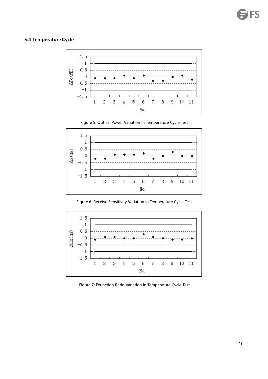#### **5.4 Temperature Cycle**



Figure 5: Optical Power Variation in Temperature Cycle Test



Figure 6: Receive Sensitivity Variation in Temperature Cycle Test



Figure 7: Extinction Ratio Variation in Temperature Cycle Test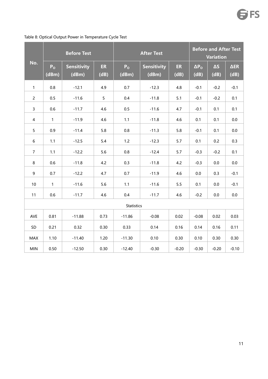<span id="page-12-0"></span>

|                | <b>Before Test</b>      |                             |                   |                         | <b>Before and After Test</b><br><b>Variation</b> |                   |                        |                    |                     |
|----------------|-------------------------|-----------------------------|-------------------|-------------------------|--------------------------------------------------|-------------------|------------------------|--------------------|---------------------|
| No.            | P <sub>o</sub><br>(dBm) | <b>Sensitivity</b><br>(dBm) | <b>ER</b><br>(dB) | P <sub>o</sub><br>(dBm) | <b>Sensitivity</b><br>(dBm)                      | <b>ER</b><br>(dB) | $\Delta P_{O}$<br>(dB) | $\Delta S$<br>(dB) | $\Delta ER$<br>(dB) |
| $\mathbf{1}$   | 0.8                     | $-12.1$                     | 4.9               | 0.7                     | $-12.3$                                          | 4.8               | $-0.1$                 | $-0.2$             | $-0.1$              |
| $\overline{2}$ | 0.5                     | $-11.6$                     | 5                 | 0.4                     | $-11.8$                                          | 5.1               | $-0.1$                 | $-0.2$             | 0.1                 |
| 3              | 0.6                     | $-11.7$                     | 4.6               | $0.5\,$                 | $-11.6$                                          | 4.7               | $-0.1$                 | 0.1                | 0.1                 |
| $\overline{4}$ | $\mathbf{1}$            | $-11.9$                     | 4.6               | 1.1                     | $-11.8$                                          | 4.6               | 0.1                    | 0.1                | 0.0                 |
| 5 <sub>5</sub> | 0.9                     | $-11.4$                     | 5.8               | 0.8                     | $-11.3$                                          | 5.8               | $-0.1$                 | 0.1                | 0.0                 |
| 6              | 1.1                     | $-12.5$                     | 5.4               | $1.2$                   | $-12.3$                                          | 5.7               | 0.1                    | 0.2                | 0.3                 |
| $\overline{7}$ | 1.1                     | $-12.2$                     | 5.6               | 0.8                     | $-12.4$                                          | 5.7               | $-0.3$                 | $-0.2$             | 0.1                 |
| 8              | 0.6                     | $-11.8$                     | 4.2               | 0.3                     | $-11.8$                                          | 4.2               | $-0.3$                 | $0.0\,$            | $0.0\,$             |
| $\mathsf g$    | 0.7                     | $-12.2$                     | 4.7               | 0.7                     | $-11.9$                                          | 4.6               | $0.0\,$                | 0.3                | $-0.1$              |
| 10             | $\mathbf{1}$            | $-11.6$                     | 5.6               | $1.1$                   | $-11.6$                                          | 5.5               | 0.1                    | $0.0\,$            | $-0.1$              |
| 11             | 0.6                     | $-11.7$                     | 4.6               | 0.4                     | $-11.7$                                          | 4.6               | $-0.2$                 | $0.0\,$            | $0.0\,$             |
|                |                         |                             |                   | <b>Statistics</b>       |                                                  |                   |                        |                    |                     |
| AVE            | 0.81                    | $-11.88$                    | 0.73              | $-11.86$                | $-0.08$                                          | 0.02              | $-0.08$                | 0.02               | 0.03                |
| $\mathsf{SD}$  | 0.21                    | 0.32                        | 0.30              | 0.33                    | 0.14                                             | 0.16              | 0.14                   | 0.16               | 0.11                |
| MAX            | 1.10                    | $-11.40$                    | 1.20              | $-11.30$                | 0.10                                             | 0.30              | 0.10                   | 0.30               | 0.30                |
| <b>MIN</b>     | 0.50                    | $-12.50$                    | 0.30              | $-12.40$                | $-0.30$                                          | $-0.20$           | $-0.30$                | $-0.20$            | $-0.10$             |

#### Table 8: Optical Output Power in Temperature Cycle Test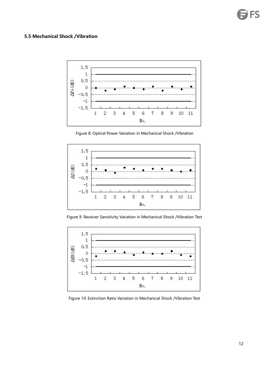#### **5.5 Mechanical Shock /Vibration**



Figure 8: Optical Power Variation in Mechanical Shock /Vibration



Figure 9: Receiver Sensitivity Variation in Mechanical Shock /Vibration Test



Figure 10: Extinction Ratio Variation in Mechanical Shock /Vibration Test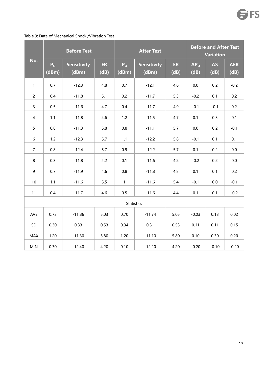|                |                         | <b>Before Test</b>          |                   |                         | <b>After Test</b>           |            |                        | <b>Before and After Test</b><br><b>Variation</b> |                     |  |
|----------------|-------------------------|-----------------------------|-------------------|-------------------------|-----------------------------|------------|------------------------|--------------------------------------------------|---------------------|--|
| No.            | P <sub>o</sub><br>(dBm) | <b>Sensitivity</b><br>(dBm) | <b>ER</b><br>(dB) | P <sub>o</sub><br>(dBm) | <b>Sensitivity</b><br>(dBm) | ER<br>(dB) | $\Delta P_{O}$<br>(dB) | $\Delta S$<br>(dB)                               | $\Delta$ ER<br>(dB) |  |
| $\mathbf{1}$   | 0.7                     | $-12.3$                     | 4.8               | 0.7                     | $-12.1$                     | 4.6        | $0.0\,$                | 0.2                                              | $-0.2$              |  |
| $\overline{2}$ | 0.4                     | $-11.8$                     | 5.1               | 0.2                     | $-11.7$                     | 5.3        | $-0.2$                 | 0.1                                              | 0.2                 |  |
| $\mathbf{3}$   | 0.5                     | $-11.6$                     | 4.7               | 0.4                     | $-11.7$                     | 4.9        | $-0.1$                 | $-0.1$                                           | 0.2                 |  |
| $\overline{4}$ | 1.1                     | $-11.8$                     | 4.6               | 1.2                     | $-11.5$                     | 4.7        | 0.1                    | 0.3                                              | 0.1                 |  |
| 5 <sub>5</sub> | 0.8                     | $-11.3$                     | 5.8               | 0.8                     | $-11.1$                     | 5.7        | $0.0\,$                | 0.2                                              | $-0.1$              |  |
| 6              | 1.2                     | $-12.3$                     | 5.7               | 1.1                     | $-12.2$                     | 5.8        | $-0.1$                 | 0.1                                              | 0.1                 |  |
| $\overline{7}$ | 0.8                     | $-12.4$                     | 5.7               | 0.9                     | $-12.2$                     | 5.7        | 0.1                    | 0.2                                              | 0.0                 |  |
| 8              | 0.3                     | $-11.8$                     | 4.2               | 0.1                     | $-11.6$                     | 4.2        | $-0.2$                 | 0.2                                              | 0.0                 |  |
| 9              | 0.7                     | $-11.9$                     | 4.6               | 0.8                     | $-11.8$                     | 4.8        | 0.1                    | 0.1                                              | 0.2                 |  |
| 10             | 1.1                     | $-11.6$                     | 5.5               | $\mathbf{1}$            | $-11.6$                     | 5.4        | $-0.1$                 | 0.0                                              | $-0.1$              |  |
| 11             | $0.4\,$                 | $-11.7$                     | 4.6               | 0.5                     | $-11.6$                     | 4.4        | 0.1                    | 0.1                                              | $-0.2$              |  |
|                |                         |                             |                   | Statistics              |                             |            |                        |                                                  |                     |  |
| AVE            | 0.73                    | $-11.86$                    | 5.03              | 0.70                    | $-11.74$                    | 5.05       | $-0.03$                | 0.13                                             | 0.02                |  |
| SD             | 0.30                    | 0.33                        | 0.53              | 0.34                    | 0.31                        | 0.53       | 0.11                   | 0.11                                             | 0.15                |  |
| <b>MAX</b>     | 1.20                    | $-11.30$                    | 5.80              | 1.20                    | $-11.10$                    | 5.80       | 0.10                   | 0.30                                             | 0.20                |  |
| <b>MIN</b>     | 0.30                    | $-12.40$                    | 4.20              | 0.10                    | $-12.20$                    | 4.20       | $-0.20$                | $-0.10$                                          | $-0.20$             |  |

#### Table 9: Data of Mechanical Shock /Vibration Test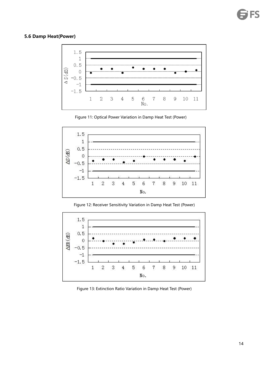#### <span id="page-15-0"></span>**5.6 Damp Heat(Power)**



Figure 11: Optical Power Variation in Damp Heat Test (Power)



Figure 12: Receiver Sensitivity Variation in Damp Heat Test (Power)



Figure 13: Extinction Ratio Variation in Damp Heat Test (Power)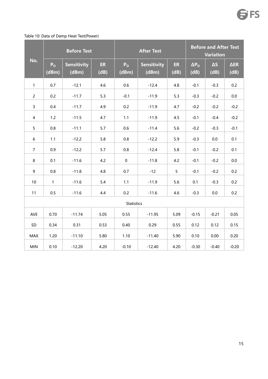#### Table 10: Data of Damp Heat Test(Power)

<span id="page-16-0"></span>

|                |                         | <b>Before Test</b>   |                   |                         | <b>After Test</b>    | <b>Before and After Test</b><br><b>Variation</b> |                        |                    |                     |
|----------------|-------------------------|----------------------|-------------------|-------------------------|----------------------|--------------------------------------------------|------------------------|--------------------|---------------------|
| No.            | P <sub>o</sub><br>(dBm) | Sensitivity<br>(dBm) | <b>ER</b><br>(dB) | P <sub>o</sub><br>(dBm) | Sensitivity<br>(dBm) | <b>ER</b><br>(dB)                                | $\Delta P_{O}$<br>(dB) | $\Delta S$<br>(dB) | $\Delta$ ER<br>(dB) |
| $\mathbf{1}$   | 0.7                     | $-12.1$              | 4.6               | 0.6                     | $-12.4$              | 4.8                                              | $-0.1$                 | $-0.3$             | 0.2                 |
| $\overline{2}$ | 0.2                     | $-11.7$              | 5.3               | $-0.1$                  | $-11.9$              | 5.3                                              | $-0.3$                 | $-0.2$             | 0.0                 |
| $\mathbf{3}$   | $0.4\,$                 | $-11.7$              | 4.9               | 0.2                     | $-11.9$              | 4.7                                              | $-0.2$                 | $-0.2$             | $-0.2$              |
| $\overline{4}$ | 1.2                     | $-11.5$              | 4.7               | 1.1                     | $-11.9$              | 4.5                                              | $-0.1$                 | $-0.4$             | $-0.2$              |
| 5 <sub>1</sub> | 0.8                     | $-11.1$              | 5.7               | 0.6                     | $-11.4$              | 5.6                                              | $-0.2$                 | $-0.3$             | $-0.1$              |
| $6\,$          | 1.1                     | $-12.2$              | 5.8               | 0.8                     | $-12.2$              | 5.9                                              | $-0.3$                 | 0.0                | 0.1                 |
| $\overline{7}$ | 0.9                     | $-12.2$              | 5.7               | $0.8\,$                 | $-12.4$              | 5.8                                              | $-0.1$                 | $-0.2$             | 0.1                 |
| $\,8\,$        | 0.1                     | $-11.6$              | 4.2               | $\mathbf 0$             | $-11.8$              | 4.2                                              | $-0.1$                 | $-0.2$             | 0.0                 |
| 9              | 0.8                     | $-11.8$              | 4.8               | 0.7                     | $-12$                | 5                                                | $-0.1$                 | $-0.2$             | 0.2                 |
| 10             | $\mathbf{1}$            | $-11.6$              | 5.4               | $1.1$                   | $-11.9$              | 5.6                                              | 0.1                    | $-0.3$             | 0.2                 |
| 11             | 0.5                     | $-11.6$              | 4.4               | 0.2                     | $-11.6$              | 4.6                                              | $-0.3$                 | 0.0                | 0.2                 |
|                |                         |                      |                   | <b>Statistics</b>       |                      |                                                  |                        |                    |                     |
| AVE            | 0.70                    | $-11.74$             | 5.05              | 0.55                    | $-11.95$             | 5.09                                             | $-0.15$                | $-0.21$            | 0.05                |
| SD             | 0.34                    | 0.31                 | 0.53              | 0.40                    | 0.29                 | 0.55                                             | 0.12                   | 0.12               | 0.15                |
| <b>MAX</b>     | 1.20                    | $-11.10$             | 5.80              | 1.10                    | $-11.40$             | 5.90                                             | 0.10                   | 0.00               | 0.20                |
| <b>MIN</b>     | 0.10                    | $-12.20$             | 4.20              | $-0.10$                 | $-12.40$             | 4.20                                             | $-0.30$                | $-0.40$            | $-0.20$             |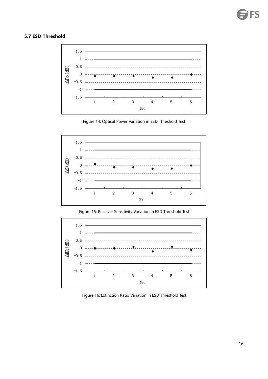#### **5.7 ESD Threshold**



Figure 14: Optical Power Variation in ESD Threshold Test



Figure 15: Receiver Sensitivity Variation in ESD Threshold Test



Figure 16: Extinction Ratio Variation in ESD Threshold Test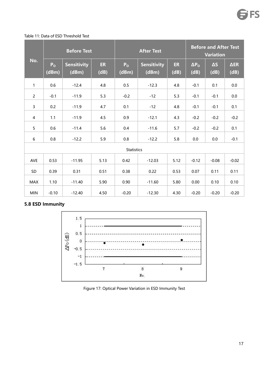#### Table 11: Data of ESD Threshold Test

|                |                         | <b>Before Test</b>          |             |                         | <b>After Test</b>           | <b>Before and After Test</b><br><b>Variation</b> |                        |                    |                     |
|----------------|-------------------------|-----------------------------|-------------|-------------------------|-----------------------------|--------------------------------------------------|------------------------|--------------------|---------------------|
| No.            | P <sub>o</sub><br>(dBm) | <b>Sensitivity</b><br>(dBm) | ER.<br>(dB) | P <sub>o</sub><br>(dBm) | <b>Sensitivity</b><br>(dBm) | ER<br>(dB)                                       | $\Delta P_{O}$<br>(dB) | $\Delta S$<br>(dB) | $\Delta ER$<br>(dB) |
| $\mathbf{1}$   | 0.6                     | $-12.4$                     | 4.8         | 0.5                     | $-12.3$                     | 4.8                                              | $-0.1$                 | 0.1                | 0.0                 |
| $\overline{2}$ | $-0.1$                  | $-11.9$                     | 5.3         | $-0.2$                  | $-12$                       | 5.3                                              | $-0.1$                 | $-0.1$             | 0.0                 |
| $\mathbf{3}$   | 0.2                     | $-11.9$                     | 4.7         | 0.1                     | $-12$                       | 4.8                                              | $-0.1$                 | $-0.1$             | 0.1                 |
| 4              | 1.1                     | $-11.9$                     | 4.5         | 0.9                     | $-12.1$                     | 4.3                                              | $-0.2$                 | $-0.2$             | $-0.2$              |
| 5 <sup>5</sup> | 0.6                     | $-11.4$                     | 5.6         | 0.4                     | $-11.6$                     | 5.7                                              | $-0.2$                 | $-0.2$             | 0.1                 |
| 6              | 0.8                     | $-12.2$                     | 5.9         | 0.8                     | $-12.2$                     | 5.8                                              | 0.0                    | 0.0                | $-0.1$              |
|                |                         |                             |             | Statistics              |                             |                                                  |                        |                    |                     |
| AVE            | 0.53                    | $-11.95$                    | 5.13        | 0.42                    | $-12.03$                    | 5.12                                             | $-0.12$                | $-0.08$            | $-0.02$             |
| SD             | 0.39                    | 0.31                        | 0.51        | 0.38                    | 0.22                        | 0.53                                             | 0.07                   | 0.11               | 0.11                |
| <b>MAX</b>     | 1.10                    | $-11.40$                    | 5.90        | 0.90                    | $-11.60$                    | 5.80                                             | 0.00                   | 0.10               | 0.10                |
| <b>MIN</b>     | $-0.10$                 | $-12.40$                    | 4.50        | $-0.20$                 | $-12.30$                    | 4.30                                             | $-0.20$                | $-0.20$            | $-0.20$             |

<span id="page-18-0"></span>**5.8 ESD Immunity**



Figure 17: Optical Power Variation in ESD Immunity Test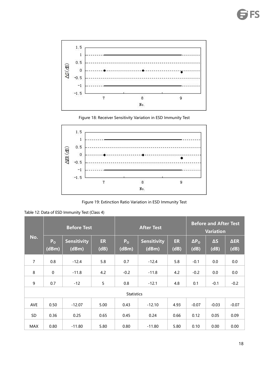

Figure 18: Receiver Sensitivity Variation in ESD Immunity Test



Figure 19: Extinction Ratio Variation in ESD Immunity Test

Table 12: Data of ESD Immunity Test (Class 4)

|                |                         | <b>Before Test</b>          |                   |                         | <b>After Test</b>    | <b>Before and After Test</b><br><b>Variation</b> |                      |                    |                     |
|----------------|-------------------------|-----------------------------|-------------------|-------------------------|----------------------|--------------------------------------------------|----------------------|--------------------|---------------------|
| No.            | P <sub>o</sub><br>(dBm) | <b>Sensitivity</b><br>(dBm) | <b>ER</b><br>(dB) | P <sub>o</sub><br>(dBm) | Sensitivity<br>(dBm) | ER<br>(dB)                                       | $\Delta P_0$<br>(dB) | $\Delta S$<br>(dB) | $\Delta$ ER<br>(dB) |
| $\overline{7}$ | 0.8                     | $-12.4$                     | 5.8               | 0.7                     | $-12.4$              | 5.8                                              | $-0.1$               | 0.0                | 0.0                 |
| 8              | $\mathbf 0$             | $-11.8$                     | 4.2               | $-0.2$                  | $-11.8$              | 4.2                                              | $-0.2$               | 0.0                | 0.0                 |
| 9              | 0.7                     | $-12$                       | $\overline{5}$    | 0.8                     | $-12.1$              | 4.8                                              | 0.1                  | $-0.1$             | $-0.2$              |
|                |                         |                             |                   | <b>Statistics</b>       |                      |                                                  |                      |                    |                     |
| AVE            | 0.50                    | $-12.07$                    | 5.00              | 0.43                    | $-12.10$             | 4.93                                             | $-0.07$              | $-0.03$            | $-0.07$             |
| SD             | 0.36                    | 0.25                        | 0.65              | 0.45                    | 0.24                 | 0.66                                             | 0.12                 | 0.05               | 0.09                |
| <b>MAX</b>     | 0.80                    | $-11.80$                    | 5.80              | 0.80                    | $-11.80$             | 5.80                                             | 0.10                 | 0.00               | 0.00                |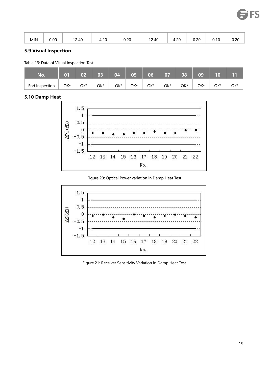| $\sim$<br>$-0.20$<br>ሰ ኃበ<br>0.20<br>$-12.40$<br>$-0.10$<br>4.20<br>12.40<br>4.ZU<br>-0.ZC<br>- 1<br>$  -$<br>$  -$ |  |
|---------------------------------------------------------------------------------------------------------------------|--|
|---------------------------------------------------------------------------------------------------------------------|--|

#### <span id="page-20-0"></span>**5.9 Visual Inspection**

Table 13: Data of Visual Inspection Test

| No.            | 01  | 02  | 03  | 04  | 05  | 06  | 07  | 08  | 09  | 10  | 11  |
|----------------|-----|-----|-----|-----|-----|-----|-----|-----|-----|-----|-----|
| End Inspection | OK* | OK* | OK* | OK* | OK* | OK* | OK* | OK* | OK* | OK* | OK* |

#### <span id="page-20-1"></span>**5.10 Damp Heat**



Figure 20: Optical Power variation in Damp Heat Test



Figure 21: Receiver Sensitivity Variation in Damp Heat Test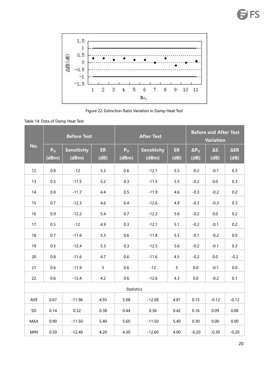

Figure 22: Extinction Ratio Variation in Damp Heat Test

| Table 14: Data of Damp Heat Test |
|----------------------------------|
|----------------------------------|

|            |                         | <b>Before Test</b>          |                   |                         | <b>After Test</b>           | <b>Before and After Test</b><br><b>Variation</b> |                        |                    |                     |
|------------|-------------------------|-----------------------------|-------------------|-------------------------|-----------------------------|--------------------------------------------------|------------------------|--------------------|---------------------|
| No.        | P <sub>o</sub><br>(dBm) | <b>Sensitivity</b><br>(dBm) | <b>ER</b><br>(dB) | P <sub>o</sub><br>(dBm) | <b>Sensitivity</b><br>(dBm) | <b>ER</b><br>(dB)                                | $\Delta P_{O}$<br>(dB) | $\Delta S$<br>(dB) | $\Delta ER$<br>(dB) |
| 12         | 0.8                     | $-12$                       | 5.2               | 0.6                     | $-12.1$                     | 5.5                                              | $-0.2$                 | $-0.1$             | 0.3                 |
| 13         | 0.5                     | $-11.5$                     | 5.2               | 0.3                     | $-11.5$                     | 5.5                                              | $-0.2$                 | $0.0\,$            | 0.3                 |
| 14         | 0.8                     | $-11.7$                     | 4.4               | 0.5                     | $-11.9$                     | 4.6                                              | $-0.3$                 | $-0.2$             | 0.2                 |
| 15         | 0.7                     | $-12.3$                     | 4.6               | 0.4                     | $-12.6$                     | 4.9                                              | $-0.3$                 | $-0.3$             | 0.3                 |
| 16         | 0.9                     | $-12.2$                     | 5.4               | 0.7                     | $-12.2$                     | 5.6                                              | $-0.2$                 | $0.0\,$            | 0.2                 |
| 17         | 0.5                     | $-12$                       | 4.9               | 0.3                     | $-12.1$                     | 5.1                                              | $-0.2$                 | $-0.1$             | 0.2                 |
| 18         | 0.7                     | $-11.6$                     | 5.3               | 0.6                     | $-11.8$                     | 5.3                                              | $-0.1$                 | $-0.2$             | 0.0                 |
| 19         | 0.5                     | $-12.4$                     | 5.3               | 0.3                     | $-12.5$                     | 5.6                                              | $-0.2$                 | $-0.1$             | 0.3                 |
| 20         | $0.8\,$                 | $-11.6$                     | 4.7               | 0.6                     | $-11.6$                     | 4.5                                              | $-0.2$                 | $0.0\,$            | $-0.2$              |
| 21         | 0.6                     | $-11.9$                     | 5 <sup>5</sup>    | 0.6                     | $-12$                       | $5\phantom{.0}$                                  | $0.0\,$                | $-0.1$             | 0.0                 |
| 22         | 0.6                     | $-12.4$                     | 4.2               | 0.6                     | $-12.6$                     | 4.3                                              | 0.0                    | $-0.2$             | 0.1                 |
|            |                         |                             |                   | <b>Statistics</b>       |                             |                                                  |                        |                    |                     |
| AVE        | 0.67                    | $-11.96$                    | 4.93              | 5.08                    | $-12.08$                    | 4.81                                             | 0.15                   | $-0.12$            | $-0.12$             |
| SD         | 0.14                    | 0.32                        | 0.38              | 0.44                    | 0.36                        | 0.42                                             | 0.16                   | 0.09               | 0.08                |
| <b>MAX</b> | 0.90                    | $-11.50$                    | 5.40              | 5.60                    | $-11.50$                    | 5.40                                             | 0.30                   | 0.00               | 0.00                |
| MIN        | 0.50                    | $-12.40$                    | 4.20              | 4.30                    | $-12.60$                    | 4.00                                             | $-0.20$                | $-0.30$            | $-0.20$             |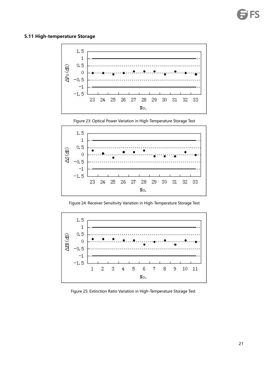#### <span id="page-22-0"></span>**5.11 High-temperature Storage**



Figure 23: Optical Power Variation in High-Temperature Storage Test



Figure 24: Receiver Sensitivity Variation in High-Temperature Storage Test



Figure 25: Extinction Ratio Variation in High-Temperature Storage Test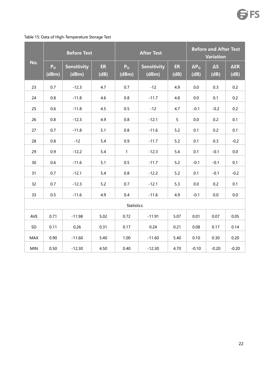#### Table 15: Data of High-Temperature Storage Test

|            |                         | <b>Before Test</b>          |                   |                         | <b>After Test</b>           | <b>Before and After Test</b><br><b>Variation</b> |                        |                    |                     |
|------------|-------------------------|-----------------------------|-------------------|-------------------------|-----------------------------|--------------------------------------------------|------------------------|--------------------|---------------------|
| No.        | P <sub>o</sub><br>(dBm) | <b>Sensitivity</b><br>(dBm) | <b>ER</b><br>(dB) | P <sub>o</sub><br>(dBm) | <b>Sensitivity</b><br>(dBm) | ER<br>(dB)                                       | $\Delta P_{O}$<br>(dB) | $\Delta S$<br>(dB) | $\Delta$ ER<br>(dB) |
| 23         | 0.7                     | $-12.3$                     | 4.7               | 0.7                     | $-12$                       | 4.9                                              | $0.0\,$                | 0.3                | 0.2                 |
| 24         | 0.8                     | $-11.8$                     | 4.6               | $0.8\,$                 | $-11.7$                     | 4.8                                              | $0.0\,$                | 0.1                | 0.2                 |
| 25         | 0.6                     | $-11.8$                     | 4.5               | $0.5\,$                 | $-12$                       | 4.7                                              | $-0.1$                 | $-0.2$             | 0.2                 |
| 26         | 0.8                     | $-12.3$                     | 4.9               | $0.8\,$                 | $-12.1$                     | 5 <sub>5</sub>                                   | $0.0\,$                | 0.2                | 0.1                 |
| 27         | 0.7                     | $-11.8$                     | 5.1               | $0.8\,$                 | $-11.6$                     | 5.2                                              | 0.1                    | 0.2                | 0.1                 |
| 28         | 0.8                     | $-12$                       | $5.4\,$           | 0.9                     | $-11.7$                     | 5.2                                              | 0.1                    | 0.3                | $-0.2$              |
| 29         | 0.9                     | $-12.2$                     | 5.4               | $\mathbf{1}$            | $-12.3$                     | 5.4                                              | 0.1                    | $-0.1$             | 0.0                 |
| 30         | 0.6                     | $-11.6$                     | 5.1               | 0.5                     | $-11.7$                     | 5.2                                              | $-0.1$                 | $-0.1$             | 0.1                 |
| 31         | 0.7                     | $-12.1$                     | 5.4               | $0.8\,$                 | $-12.2$                     | 5.2                                              | 0.1                    | $-0.1$             | $-0.2$              |
| 32         | 0.7                     | $-12.3$                     | $5.2$             | 0.7                     | $-12.1$                     | 5.3                                              | $0.0\,$                | 0.2                | 0.1                 |
| 33         | 0.5                     | $-11.6$                     | 4.9               | 0.4                     | $-11.6$                     | 4.9                                              | $-0.1$                 | 0.0                | 0.0                 |
|            |                         |                             |                   | <b>Statistics</b>       |                             |                                                  |                        |                    |                     |
| AVE        | 0.71                    | $-11.98$                    | 5.02              | 0.72                    | $-11.91$                    | 5.07                                             | 0.01                   | 0.07               | 0.05                |
| SD         | 0.11                    | 0.26                        | 0.31              | 0.17                    | 0.24                        | 0.21                                             | 0.08                   | 0.17               | 0.14                |
| MAX        | 0.90                    | $-11.60$                    | 5.40              | 1.00                    | $-11.60$                    | 5.40                                             | 0.10                   | 0.30               | 0.20                |
| <b>MIN</b> | 0.50                    | $-12.30$                    | 4.50              | 0.40                    | $-12.30$                    | 4.70                                             | $-0.10$                | $-0.20$            | $-0.20$             |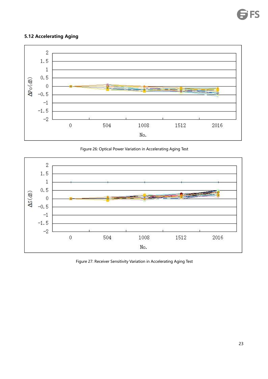#### <span id="page-24-0"></span>**5.12 Accelerating Aging**



Figure 26: Optical Power Variation in Accelerating Aging Test



Figure 27: Receiver Sensitivity Variation in Accelerating Aging Test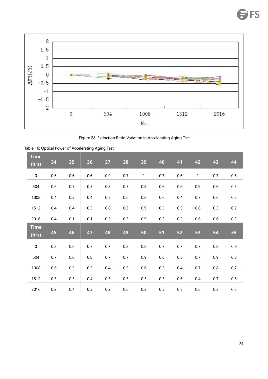

Figure 28: Extinction Ratio Variation in Accelerating Aging Test

| <b>Time</b><br>(hrs) | 34      | 35      | 36      | 37      | 38  | 39           | 40      | 41      | 42           | 43  | 44      |
|----------------------|---------|---------|---------|---------|-----|--------------|---------|---------|--------------|-----|---------|
| $\mathbf 0$          | $0.6\,$ | 0.6     | 0.6     | 0.9     | 0.7 | $\mathbf{1}$ | 0.7     | 0.6     | $\mathbf{1}$ | 0.7 | 0.6     |
| 504                  | 0.6     | 0.7     | $0.5\,$ | 0.8     | 0.7 | 0.8          | 0.6     | 0.6     | 0.9          | 0.6 | $0.5\,$ |
| 1008                 | $0.4\,$ | 0.5     | $0.4\,$ | 0.8     | 0.6 | $0.8\,$      | 0.6     | $0.4\,$ | 0.7          | 0.6 | $0.5\,$ |
| 1512                 | $0.4\,$ | 0.4     | 0.3     | $0.6\,$ | 0.3 | 0.9          | $0.5\,$ | 0.5     | 0.6          | 0.3 | 0.2     |
| 2016                 | $0.4\,$ | 0.1     | 0.1     | $0.5\,$ | 0.3 | 0.9          | 0.3     | 0.2     | 0.6          | 0.6 | 0.3     |
|                      |         |         |         |         |     |              |         |         |              |     |         |
| <b>Time</b><br>(hrs) | 45      | 46      | 47      | 48      | 49  | 50           | 51      | 52      | 53           | 54  | 55      |
| $\mathbf 0$          | 0.8     | 0.6     | 0.7     | 0.7     | 0.8 | 0.8          | 0.7     | 0.7     | 0.7          | 0.8 | 0.9     |
| 504                  | 0.7     | 0.6     | 0.8     | 0.7     | 0.7 | 0.9          | 0.6     | $0.5\,$ | 0.7          | 0.9 | 0.8     |
| 1008                 | 0.6     | $0.5\,$ | $0.5\,$ | $0.4\,$ | 0.5 | $0.6\,$      | $0.5\,$ | $0.4\,$ | 0.7          | 0.8 | 0.7     |
| 1512                 | $0.5\,$ | 0.3     | 0.4     | $0.5\,$ | 0.5 | $0.5\,$      | 0.5     | 0.6     | 0.4          | 0.7 | 0.6     |

Table 16: Optical Power of Accelerating Aging Test

FS